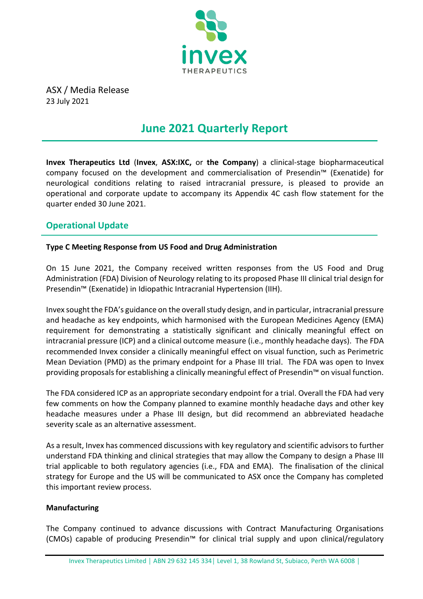

ASX / Media Release 23 July 2021

# **June 2021 Quarterly Report**

**Invex Therapeutics Ltd** (**Invex**, **ASX:IXC,** or **the Company**) a clinical-stage biopharmaceutical company focused on the development and commercialisation of Presendin™ (Exenatide) for neurological conditions relating to raised intracranial pressure, is pleased to provide an operational and corporate update to accompany its Appendix 4C cash flow statement for the quarter ended 30 June 2021.

### **Operational Update**

### **Type C Meeting Response from US Food and Drug Administration**

On 15 June 2021, the Company received written responses from the US Food and Drug Administration (FDA) Division of Neurology relating to its proposed Phase III clinical trial design for Presendin™ (Exenatide) in Idiopathic Intracranial Hypertension (IIH).

Invex sought the FDA's guidance on the overall study design, and in particular, intracranial pressure and headache as key endpoints, which harmonised with the European Medicines Agency (EMA) requirement for demonstrating a statistically significant and clinically meaningful effect on intracranial pressure (ICP) and a clinical outcome measure (i.e., monthly headache days). The FDA recommended Invex consider a clinically meaningful effect on visual function, such as Perimetric Mean Deviation (PMD) as the primary endpoint for a Phase III trial. The FDA was open to Invex providing proposals for establishing a clinically meaningful effect of Presendin™ on visual function.

The FDA considered ICP as an appropriate secondary endpoint for a trial. Overall the FDA had very few comments on how the Company planned to examine monthly headache days and other key headache measures under a Phase III design, but did recommend an abbreviated headache severity scale as an alternative assessment.

As a result, Invex has commenced discussions with key regulatory and scientific advisors to further understand FDA thinking and clinical strategies that may allow the Company to design a Phase III trial applicable to both regulatory agencies (i.e., FDA and EMA). The finalisation of the clinical strategy for Europe and the US will be communicated to ASX once the Company has completed this important review process.

### **Manufacturing**

The Company continued to advance discussions with Contract Manufacturing Organisations (CMOs) capable of producing Presendin™ for clinical trial supply and upon clinical/regulatory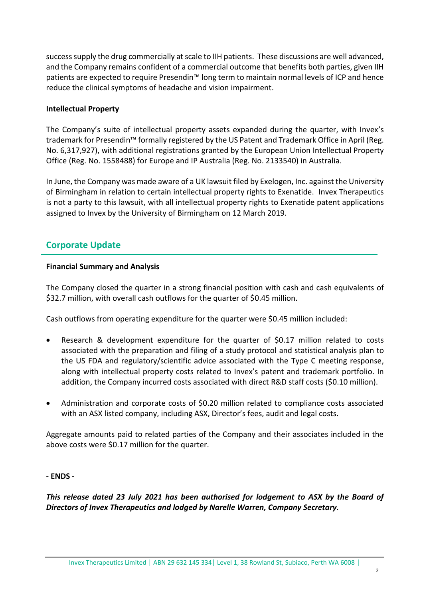success supply the drug commercially at scale to IIH patients. These discussions are well advanced, and the Company remains confident of a commercial outcome that benefits both parties, given IIH patients are expected to require Presendin™ long term to maintain normal levels of ICP and hence reduce the clinical symptoms of headache and vision impairment.

#### **Intellectual Property**

The Company's suite of intellectual property assets expanded during the quarter, with Invex's trademark for Presendin™ formally registered by the US Patent and Trademark Office in April (Reg. No. 6,317,927), with additional registrations granted by the European Union Intellectual Property Office (Reg. No. 1558488) for Europe and IP Australia (Reg. No. 2133540) in Australia.

In June, the Company was made aware of a UK lawsuit filed by Exelogen, Inc. against the University of Birmingham in relation to certain intellectual property rights to Exenatide. Invex Therapeutics is not a party to this lawsuit, with all intellectual property rights to Exenatide patent applications assigned to Invex by the University of Birmingham on 12 March 2019.

### **Corporate Update**

#### **Financial Summary and Analysis**

The Company closed the quarter in a strong financial position with cash and cash equivalents of \$32.7 million, with overall cash outflows for the quarter of \$0.45 million.

Cash outflows from operating expenditure for the quarter were \$0.45 million included:

- Research & development expenditure for the quarter of \$0.17 million related to costs associated with the preparation and filing of a study protocol and statistical analysis plan to the US FDA and regulatory/scientific advice associated with the Type C meeting response, along with intellectual property costs related to Invex's patent and trademark portfolio. In addition, the Company incurred costs associated with direct R&D staff costs (\$0.10 million).
- Administration and corporate costs of \$0.20 million related to compliance costs associated with an ASX listed company, including ASX, Director's fees, audit and legal costs.

Aggregate amounts paid to related parties of the Company and their associates included in the above costs were \$0.17 million for the quarter.

### **- ENDS -**

*This release dated 23 July 2021 has been authorised for lodgement to ASX by the Board of Directors of Invex Therapeutics and lodged by Narelle Warren, Company Secretary.*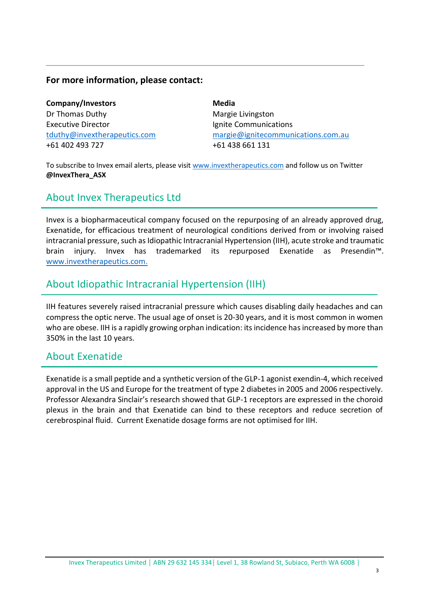### **For more information, please contact:**

**Company/Investors** Dr Thomas Duthy Executive Director [tduthy@invextherapeutics.com](mailto:tduthy@invextherapeutics.comu) +61 402 493 727

**Media** Margie Livingston Ignite Communications [margie@ignitecommunications.com.au](mailto:margie@ignitecommunications.com.au) +61 438 661 131

To subscribe to Invex email alerts, please visit [www.invextherapeutics.com](http://www.invextherapeutics.com/) and follow us on Twitter **@InvexThera\_ASX**

### About Invex Therapeutics Ltd

Invex is a biopharmaceutical company focused on the repurposing of an already approved drug, Exenatide, for efficacious treatment of neurological conditions derived from or involving raised intracranial pressure, such as Idiopathic Intracranial Hypertension (IIH), acute stroke and traumatic brain injury. Invex has trademarked its repurposed Exenatide as Presendin™. [www.invextherapeutics.com.](http://www.invextherapeutics.com/)

### About Idiopathic Intracranial Hypertension (IIH)

IIH features severely raised intracranial pressure which causes disabling daily headaches and can compress the optic nerve. The usual age of onset is 20-30 years, and it is most common in women who are obese. IIH is a rapidly growing orphan indication: its incidence has increased by more than 350% in the last 10 years.

### About Exenatide

Exenatide is a small peptide and a synthetic version of the GLP-1 agonist exendin-4, which received approval in the US and Europe for the treatment of type 2 diabetes in 2005 and 2006 respectively. Professor Alexandra Sinclair's research showed that GLP-1 receptors are expressed in the choroid plexus in the brain and that Exenatide can bind to these receptors and reduce secretion of cerebrospinal fluid. Current Exenatide dosage forms are not optimised for IIH.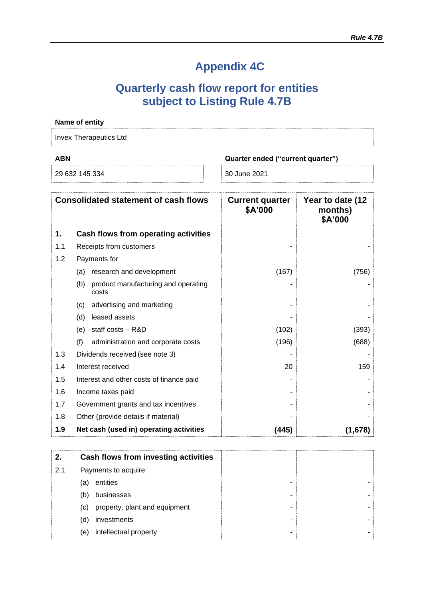# **Appendix 4C**

## **Quarterly cash flow report for entities subject to Listing Rule 4.7B**

|            | Name of entity                                      |                                   |                                        |
|------------|-----------------------------------------------------|-----------------------------------|----------------------------------------|
|            | <b>Invex Therapeutics Ltd</b>                       |                                   |                                        |
| <b>ABN</b> |                                                     | Quarter ended ("current quarter") |                                        |
|            | 29 632 145 334                                      | 30 June 2021                      |                                        |
|            | <b>Consolidated statement of cash flows</b>         | <b>Current quarter</b><br>\$A'000 | Year to date (12<br>months)<br>\$A'000 |
| 1.         | Cash flows from operating activities                |                                   |                                        |
| 1.1        | Receipts from customers                             |                                   |                                        |
| 1.2        | Payments for                                        |                                   |                                        |
|            | (a) research and development                        | (167)                             | (756)                                  |
|            | product manufacturing and operating<br>(b)<br>costs |                                   |                                        |
|            | advertising and marketing<br>(c)                    |                                   |                                        |
|            | leased assets<br>(d)                                |                                   |                                        |
|            | staff costs - R&D<br>(e)                            | (102)                             | (393)                                  |
|            | (f)<br>administration and corporate costs           | (196)                             | (688)                                  |
| 1.3        | Dividends received (see note 3)                     |                                   |                                        |
| 1.4        | Interest received                                   | 20                                | 159                                    |
| 1.5        | Interest and other costs of finance paid            |                                   |                                        |
| 1.6        | Income taxes paid                                   |                                   |                                        |
| 1.7        | Government grants and tax incentives                |                                   |                                        |
| 1.8        | Other (provide details if material)                 |                                   |                                        |
| 1.9        | Net cash (used in) operating activities             | (445)                             | (1,678)                                |

| 2.  | Cash flows from investing activities |   |  |
|-----|--------------------------------------|---|--|
| 2.1 | Payments to acquire:                 |   |  |
|     | entities<br>(a)                      |   |  |
|     | businesses<br>(b)                    |   |  |
|     | property, plant and equipment<br>(c) |   |  |
|     | investments<br>(d)                   |   |  |
|     | intellectual property<br>(e)         | - |  |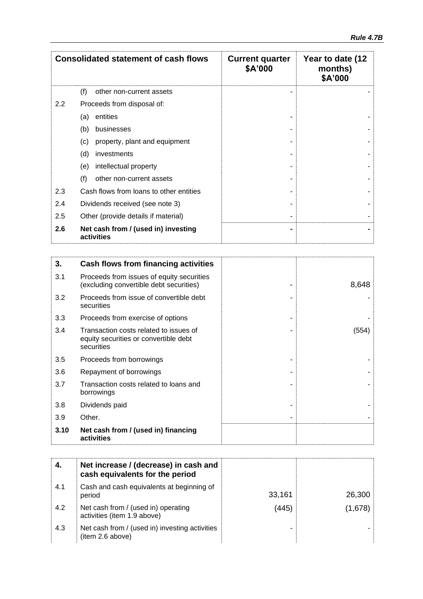| <b>Consolidated statement of cash flows</b> |                                                   | <b>Current quarter</b><br>\$A'000 | Year to date (12<br>months)<br>\$A'000 |  |
|---------------------------------------------|---------------------------------------------------|-----------------------------------|----------------------------------------|--|
|                                             | (f)<br>other non-current assets                   |                                   |                                        |  |
| $2.2\,$                                     | Proceeds from disposal of:                        |                                   |                                        |  |
|                                             | entities<br>(a)                                   |                                   |                                        |  |
|                                             | (b)<br>businesses                                 |                                   |                                        |  |
|                                             | (c)<br>property, plant and equipment              |                                   |                                        |  |
|                                             | (d)<br>investments                                |                                   |                                        |  |
|                                             | intellectual property<br>(e)                      |                                   |                                        |  |
|                                             | (f)<br>other non-current assets                   |                                   |                                        |  |
| 2.3                                         | Cash flows from loans to other entities           |                                   |                                        |  |
| 2.4                                         | Dividends received (see note 3)                   |                                   |                                        |  |
| 2.5                                         | Other (provide details if material)               |                                   |                                        |  |
| 2.6                                         | Net cash from / (used in) investing<br>activities |                                   |                                        |  |

| 3.   | <b>Cash flows from financing activities</b>                                                   |       |
|------|-----------------------------------------------------------------------------------------------|-------|
| 3.1  | Proceeds from issues of equity securities<br>(excluding convertible debt securities)          | 8,648 |
| 3.2  | Proceeds from issue of convertible debt<br>securities                                         |       |
| 3.3  | Proceeds from exercise of options                                                             |       |
| 3.4  | Transaction costs related to issues of<br>equity securities or convertible debt<br>securities | (554) |
| 3.5  | Proceeds from borrowings                                                                      |       |
| 3.6  | Repayment of borrowings                                                                       |       |
| 3.7  | Transaction costs related to loans and<br>borrowings                                          |       |
| 3.8  | Dividends paid                                                                                |       |
| 3.9  | Other.                                                                                        |       |
| 3.10 | Net cash from / (used in) financing<br>activities                                             |       |

|     | Net increase / (decrease) in cash and<br>cash equivalents for the period |        |         |
|-----|--------------------------------------------------------------------------|--------|---------|
| 4.1 | Cash and cash equivalents at beginning of<br>period                      | 33,161 | 26,300  |
| 4.2 | Net cash from / (used in) operating<br>activities (item 1.9 above)       | (445)  | (1,678) |
| 4.3 | Net cash from / (used in) investing activities<br>(item 2.6 above)       |        |         |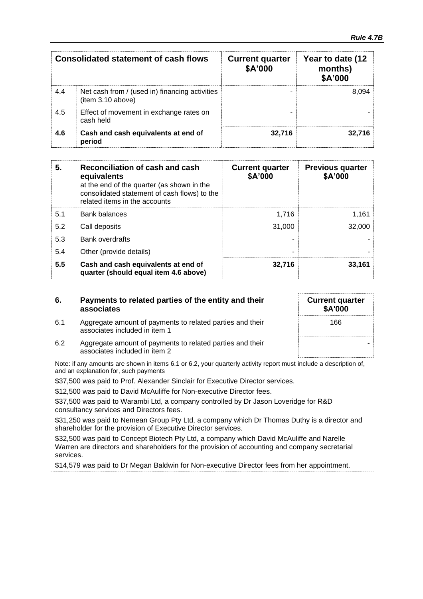| <b>Consolidated statement of cash flows</b> |                                                                     | <b>Current quarter</b><br>\$A'000 | Year to date (12<br>months)<br>\$A'000 |
|---------------------------------------------|---------------------------------------------------------------------|-----------------------------------|----------------------------------------|
| 4.4                                         | Net cash from / (used in) financing activities<br>(item 3.10 above) |                                   | 8.094                                  |
| 4.5                                         | Effect of movement in exchange rates on<br>cash held                |                                   |                                        |
| 4.6                                         | Cash and cash equivalents at end of<br>period                       | 32,716                            | 32.716                                 |

| 5.  | Reconciliation of cash and cash<br>equivalents<br>at the end of the quarter (as shown in the<br>consolidated statement of cash flows) to the<br>related items in the accounts | <b>Current quarter</b><br>\$A'000 | <b>Previous quarter</b><br>\$A'000 |
|-----|-------------------------------------------------------------------------------------------------------------------------------------------------------------------------------|-----------------------------------|------------------------------------|
| 5.1 | <b>Bank balances</b>                                                                                                                                                          | 1.716                             | 1,161                              |
| 5.2 | Call deposits                                                                                                                                                                 | 31.000                            | 32,000                             |
| 5.3 | <b>Bank overdrafts</b>                                                                                                                                                        |                                   |                                    |
| 5.4 | Other (provide details)                                                                                                                                                       | ۰                                 |                                    |
| 5.5 | Cash and cash equivalents at end of<br>quarter (should equal item 4.6 above)                                                                                                  | 32,716                            | 33,161                             |

| 6. | Payments to related parties of the entity and their |
|----|-----------------------------------------------------|
|    | associates                                          |

6.1 Aggregate amount of payments to related parties and their

associates included in item 1

| <b>Current quarter</b><br>\$A'000 |  |
|-----------------------------------|--|
| 166                               |  |
|                                   |  |

6.2 Aggregate amount of payments to related parties and their associates included in item 2

Note: if any amounts are shown in items 6.1 or 6.2, your quarterly activity report must include a description of, and an explanation for, such payments

\$37,500 was paid to Prof. Alexander Sinclair for Executive Director services.

\$12,500 was paid to David McAuliffe for Non-executive Director fees.

\$37,500 was paid to Warambi Ltd, a company controlled by Dr Jason Loveridge for R&D consultancy services and Directors fees.

\$31,250 was paid to Nemean Group Pty Ltd, a company which Dr Thomas Duthy is a director and shareholder for the provision of Executive Director services.

\$32,500 was paid to Concept Biotech Pty Ltd, a company which David McAuliffe and Narelle Warren are directors and shareholders for the provision of accounting and company secretarial services.

\$14,579 was paid to Dr Megan Baldwin for Non-executive Director fees from her appointment.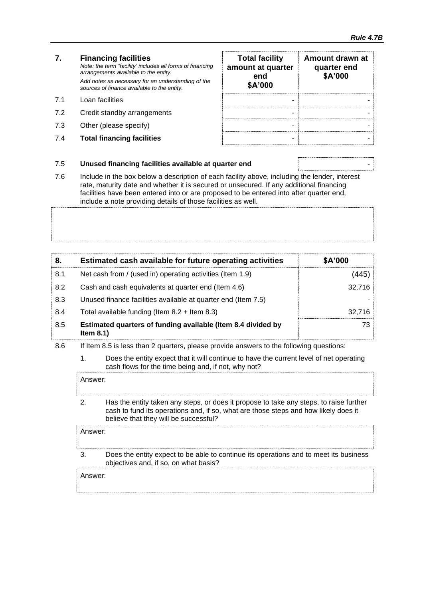#### **7. Financing facilities** *Note: the term "facility' includes all forms of financing arrangements available to the entity. Add notes as necessary for an understanding of the sources of finance available to the entity.* 7.1 Loan facilities

- 7.2 Credit standby arrangements
- 7.3 Other (please specify)
- **7.4 Total financing facilities**

| <b>Total facility</b><br>amount at quarter<br>end<br>\$A'000 | Amount drawn at<br>quarter end<br>\$A'000 |
|--------------------------------------------------------------|-------------------------------------------|
|                                                              |                                           |
|                                                              |                                           |
|                                                              |                                           |
|                                                              |                                           |

#### 7.5 **Unused financing facilities available at quarter end** -

7.6 Include in the box below a description of each facility above, including the lender, interest rate, maturity date and whether it is secured or unsecured. If any additional financing facilities have been entered into or are proposed to be entered into after quarter end, include a note providing details of those facilities as well.

| 8.  | Estimated cash available for future operating activities                     | \$A'000 |
|-----|------------------------------------------------------------------------------|---------|
| 8.1 | Net cash from / (used in) operating activities (Item 1.9)                    | (445).  |
| 8.2 | Cash and cash equivalents at quarter end (Item 4.6)                          | 32,716  |
| 8.3 | Unused finance facilities available at quarter end (Item 7.5)                |         |
| 8.4 | Total available funding (Item $8.2 +$ Item $8.3$ )                           | 32.716  |
| 8.5 | Estimated quarters of funding available (Item 8.4 divided by<br>Item $8.1$ ) | 73      |

- 8.6 If Item 8.5 is less than 2 quarters, please provide answers to the following questions:
	- 1. Does the entity expect that it will continue to have the current level of net operating cash flows for the time being and, if not, why not?

Answer: 2. Has the entity taken any steps, or does it propose to take any steps, to raise further cash to fund its operations and, if so, what are those steps and how likely does it believe that they will be successful?

Answer:

3. Does the entity expect to be able to continue its operations and to meet its business objectives and, if so, on what basis?

Answer: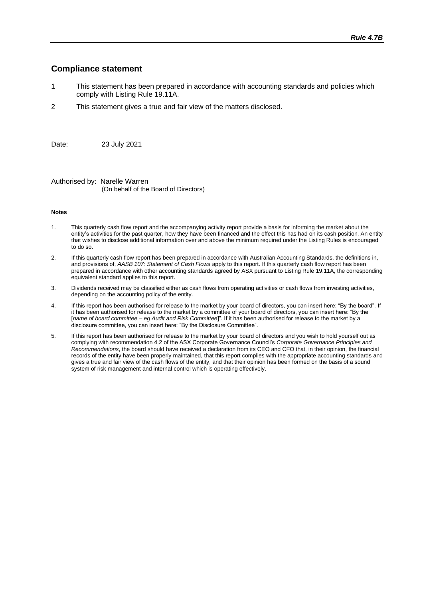#### **Compliance statement**

- 1 This statement has been prepared in accordance with accounting standards and policies which comply with Listing Rule 19.11A.
- 2 This statement gives a true and fair view of the matters disclosed.

Date: 23 July 2021

Authorised by: Narelle Warren (On behalf of the Board of Directors)

#### **Notes**

- 1. This quarterly cash flow report and the accompanying activity report provide a basis for informing the market about the entity's activities for the past quarter, how they have been financed and the effect this has had on its cash position. An entity that wishes to disclose additional information over and above the minimum required under the Listing Rules is encouraged to do so.
- 2. If this quarterly cash flow report has been prepared in accordance with Australian Accounting Standards, the definitions in, and provisions of, *AASB 107: Statement of Cash Flows* apply to this report. If this quarterly cash flow report has been prepared in accordance with other accounting standards agreed by ASX pursuant to Listing Rule 19.11A, the corresponding equivalent standard applies to this report.
- 3. Dividends received may be classified either as cash flows from operating activities or cash flows from investing activities, depending on the accounting policy of the entity.
- 4. If this report has been authorised for release to the market by your board of directors, you can insert here: "By the board". If it has been authorised for release to the market by a committee of your board of directors, you can insert here: "By the [*name of board committee* – *eg Audit and Risk Committee*]". If it has been authorised for release to the market by a disclosure committee, you can insert here: "By the Disclosure Committee".
- 5. If this report has been authorised for release to the market by your board of directors and you wish to hold yourself out as complying with recommendation 4.2 of the ASX Corporate Governance Council's *Corporate Governance Principles and Recommendations*, the board should have received a declaration from its CEO and CFO that, in their opinion, the financial records of the entity have been properly maintained, that this report complies with the appropriate accounting standards and gives a true and fair view of the cash flows of the entity, and that their opinion has been formed on the basis of a sound system of risk management and internal control which is operating effectively.